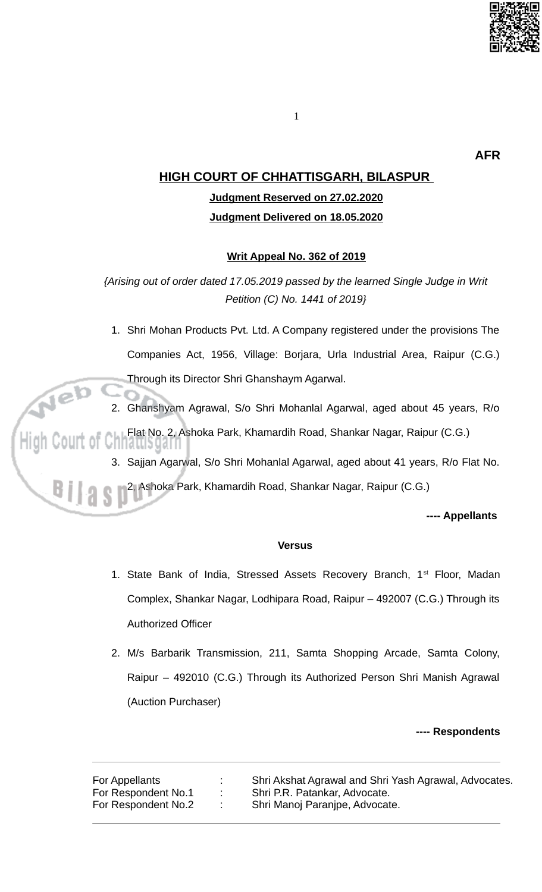

**AFR** 

## **HIGH COURT OF CHHATTISGARH, BILASPUR**

# Judgment Reserved on 27.02.2020 Judgment Delivered on 18.05.2020

### Writ Appeal No. 362 of 2019

{Arising out of order dated 17.05.2019 passed by the learned Single Judge in Writ Petition (C) No. 1441 of 2019}

1. Shri Mohan Products Pvt. Ltd. A Company registered under the provisions The Companies Act, 1956, Village: Borjara, Urla Industrial Area, Raipur (C.G.) Through its Director Shri Ghanshaym Agarwal.

2. Ghanshyam Agrawal, S/o Shri Mohanlal Agarwal, aged about 45 years, R/o

Flat No. 2, Ashoka Park, Khamardih Road, Shankar Nagar, Raipur (C.G.)

i iallið ya í fi

3. Sajjan Agarwal, S/o Shri Mohanlal Agarwal, aged about 41 years, R/o Flat No.

2, Ashoka Park, Khamardih Road, Shankar Nagar, Raipur (C.G.)

---- Appellants

### **Versus**

- 1. State Bank of India, Stressed Assets Recovery Branch, 1<sup>st</sup> Floor, Madan Complex, Shankar Nagar, Lodhipara Road, Raipur – 492007 (C.G.) Through its **Authorized Officer**
- 2. M/s Barbarik Transmission, 211, Samta Shopping Arcade, Samta Colony, Raipur - 492010 (C.G.) Through its Authorized Person Shri Manish Agrawal (Auction Purchaser)

#### ---- Respondents

For Appellants Shri Akshat Agrawal and Shri Yash Agrawal, Advocates. For Respondent No.1 Shri P.R. Patankar, Advocate. For Respondent No.2 Shri Manoj Paranjpe, Advocate.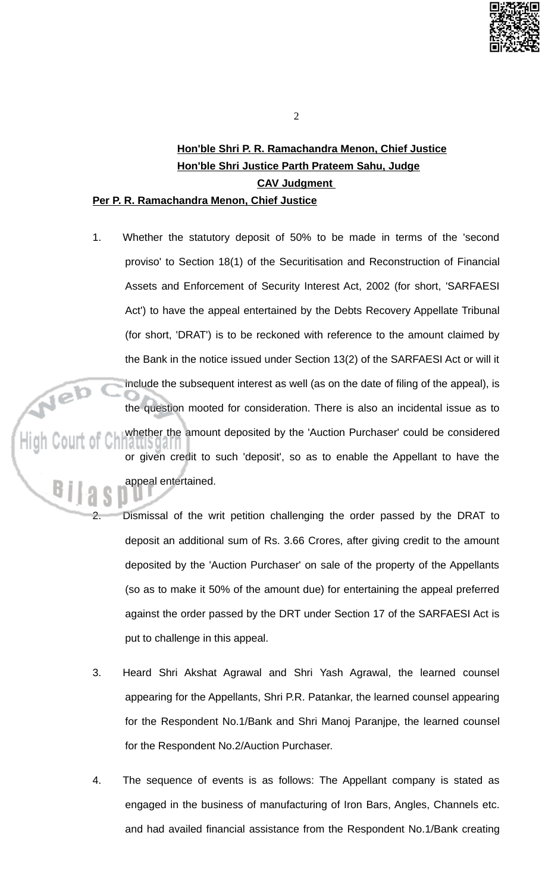

#### $\overline{2}$

# Hon'ble Shri P. R. Ramachandra Menon, Chief Justice Hon'ble Shri Justice Parth Prateem Sahu, Judge **CAV Judgment**

## Per P. R. Ramachandra Menon, Chief Justice

 $1.$ Whether the statutory deposit of 50% to be made in terms of the 'second proviso' to Section 18(1) of the Securitisation and Reconstruction of Financial Assets and Enforcement of Security Interest Act, 2002 (for short, 'SARFAESI Act') to have the appeal entertained by the Debts Recovery Appellate Tribunal (for short, 'DRAT') is to be reckoned with reference to the amount claimed by the Bank in the notice issued under Section 13(2) of the SARFAESI Act or will it include the subsequent interest as well (as on the date of filing of the appeal), is the question mooted for consideration. There is also an incidental issue as to whether the amount deposited by the 'Auction Purchaser' could be considered unayar or given credit to such 'deposit', so as to enable the Appellant to have the appeal entertained.

Dismissal of the writ petition challenging the order passed by the DRAT to deposit an additional sum of Rs. 3.66 Crores, after giving credit to the amount deposited by the 'Auction Purchaser' on sale of the property of the Appellants (so as to make it 50% of the amount due) for entertaining the appeal preferred against the order passed by the DRT under Section 17 of the SARFAESI Act is put to challenge in this appeal.

- 3. Heard Shri Akshat Agrawal and Shri Yash Agrawal, the learned counsel appearing for the Appellants, Shri P.R. Patankar, the learned counsel appearing for the Respondent No.1/Bank and Shri Manoj Paranjpe, the learned counsel for the Respondent No.2/Auction Purchaser.
- $\overline{4}$ . The sequence of events is as follows: The Appellant company is stated as engaged in the business of manufacturing of Iron Bars, Angles, Channels etc. and had availed financial assistance from the Respondent No.1/Bank creating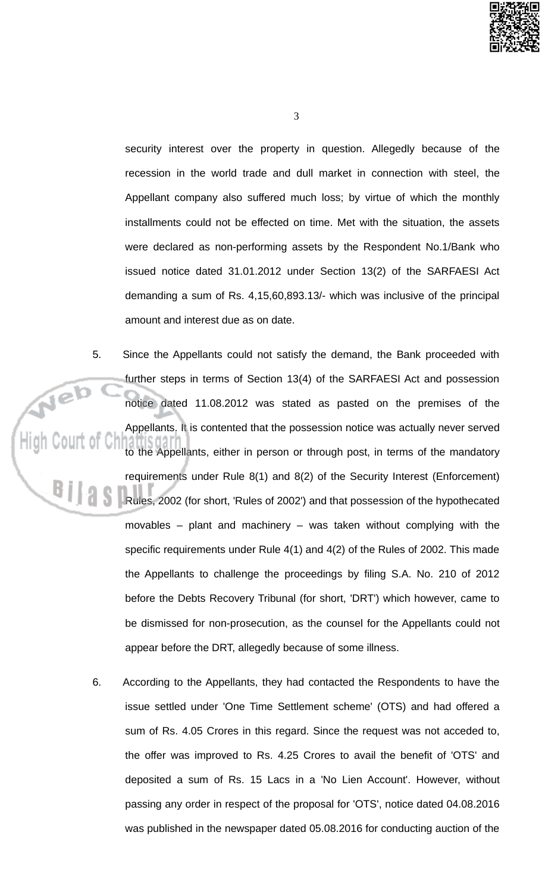

 $\mathbf{3}$ 

security interest over the property in question. Allegedly because of the recession in the world trade and dull market in connection with steel, the Appellant company also suffered much loss; by virtue of which the monthly installments could not be effected on time. Met with the situation, the assets were declared as non-performing assets by the Respondent No.1/Bank who issued notice dated 31.01.2012 under Section 13(2) of the SARFAESI Act demanding a sum of Rs. 4,15,60,893.13/- which was inclusive of the principal amount and interest due as on date.

- Since the Appellants could not satisfy the demand, the Bank proceeded with 5. further steps in terms of Section 13(4) of the SARFAESI Act and possession notice dated 11.08.2012 was stated as pasted on the premises of the Appellants. It is contented that the possession notice was actually never served to the Appellants, either in person or through post, in terms of the mandatory requirements under Rule 8(1) and 8(2) of the Security Interest (Enforcement) Rules, 2002 (for short, 'Rules of 2002') and that possession of the hypothecated movables – plant and machinery – was taken without complying with the specific requirements under Rule 4(1) and 4(2) of the Rules of 2002. This made the Appellants to challenge the proceedings by filing S.A. No. 210 of 2012 before the Debts Recovery Tribunal (for short, 'DRT') which however, came to be dismissed for non-prosecution, as the counsel for the Appellants could not appear before the DRT, allegedly because of some illness.
	- 6. According to the Appellants, they had contacted the Respondents to have the issue settled under 'One Time Settlement scheme' (OTS) and had offered a sum of Rs. 4.05 Crores in this regard. Since the request was not acceded to, the offer was improved to Rs. 4.25 Crores to avail the benefit of 'OTS' and deposited a sum of Rs. 15 Lacs in a 'No Lien Account'. However, without passing any order in respect of the proposal for 'OTS', notice dated 04.08.2016 was published in the newspaper dated 05.08.2016 for conducting auction of the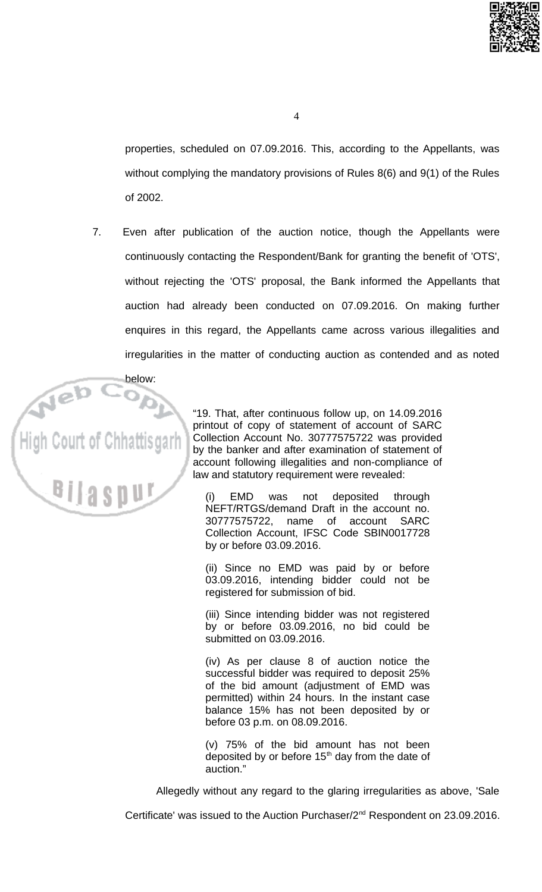

properties, scheduled on 07.09.2016. This, according to the Appellants, was without complying the mandatory provisions of Rules 8(6) and 9(1) of the Rules of 2002.

Even after publication of the auction notice, though the Appellants were 7. continuously contacting the Respondent/Bank for granting the benefit of 'OTS', without rejecting the 'OTS' proposal, the Bank informed the Appellants that auction had already been conducted on 07.09.2016. On making further enquires in this regard, the Appellants came across various illegalities and irregularities in the matter of conducting auction as contended and as noted



"19. That, after continuous follow up, on 14.09.2016 printout of copy of statement of account of SARC Collection Account No. 30777575722 was provided by the banker and after examination of statement of account following illegalities and non-compliance of law and statutory requirement were revealed:

**EMD** was not deposited through  $(i)$ NEFT/RTGS/demand Draft in the account no. 30777575722. name of account **SARC** Collection Account, IFSC Code SBIN0017728 by or before 03.09.2016.

(ii) Since no EMD was paid by or before 03.09.2016, intending bidder could not be registered for submission of bid.

(iii) Since intending bidder was not registered by or before 03.09.2016, no bid could be submitted on 03.09.2016.

(iv) As per clause 8 of auction notice the successful bidder was required to deposit 25% of the bid amount (adjustment of EMD was permitted) within 24 hours. In the instant case balance 15% has not been deposited by or before 03 p.m. on 08.09.2016.

(v) 75% of the bid amount has not been deposited by or before 15<sup>th</sup> day from the date of auction."

Allegedly without any regard to the glaring irregularities as above, 'Sale

Certificate' was issued to the Auction Purchaser/2<sup>nd</sup> Respondent on 23.09.2016.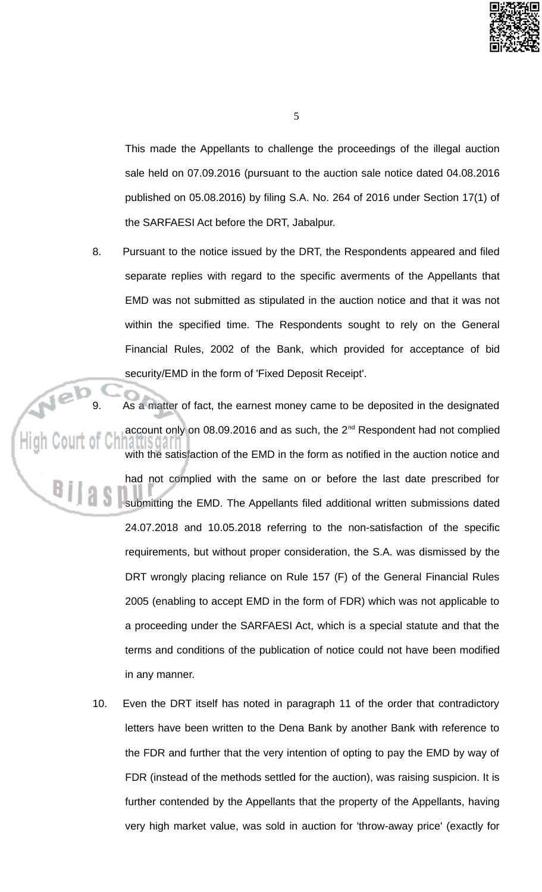

 $5^{\circ}$ 

This made the Appellants to challenge the proceedings of the illegal auction sale held on 07.09.2016 (pursuant to the auction sale notice dated 04.08.2016 published on 05.08.2016) by filing S.A. No. 264 of 2016 under Section 17(1) of the SARFAESI Act before the DRT, Jabalpur.

8. Pursuant to the notice issued by the DRT, the Respondents appeared and filed separate replies with regard to the specific averments of the Appellants that EMD was not submitted as stipulated in the auction notice and that it was not within the specified time. The Respondents sought to rely on the General Financial Rules, 2002 of the Bank, which provided for acceptance of bid security/EMD in the form of 'Fixed Deposit Receipt'.

As a matter of fact, the earnest money came to be deposited in the designated account only on 08.09.2016 and as such, the 2<sup>nd</sup> Respondent had not complied with the satisfaction of the EMD in the form as notified in the auction notice and had not complied with the same on or before the last date prescribed for submitting the EMD. The Appellants filed additional written submissions dated 24.07.2018 and 10.05.2018 referring to the non-satisfaction of the specific requirements, but without proper consideration, the S.A. was dismissed by the DRT wrongly placing reliance on Rule 157 (F) of the General Financial Rules 2005 (enabling to accept EMD in the form of FDR) which was not applicable to a proceeding under the SARFAESI Act, which is a special statute and that the terms and conditions of the publication of notice could not have been modified in any manner.

10. Even the DRT itself has noted in paragraph 11 of the order that contradictory letters have been written to the Dena Bank by another Bank with reference to the FDR and further that the very intention of opting to pay the EMD by way of FDR (instead of the methods settled for the auction), was raising suspicion. It is further contended by the Appellants that the property of the Appellants, having very high market value, was sold in auction for 'throw-away price' (exactly for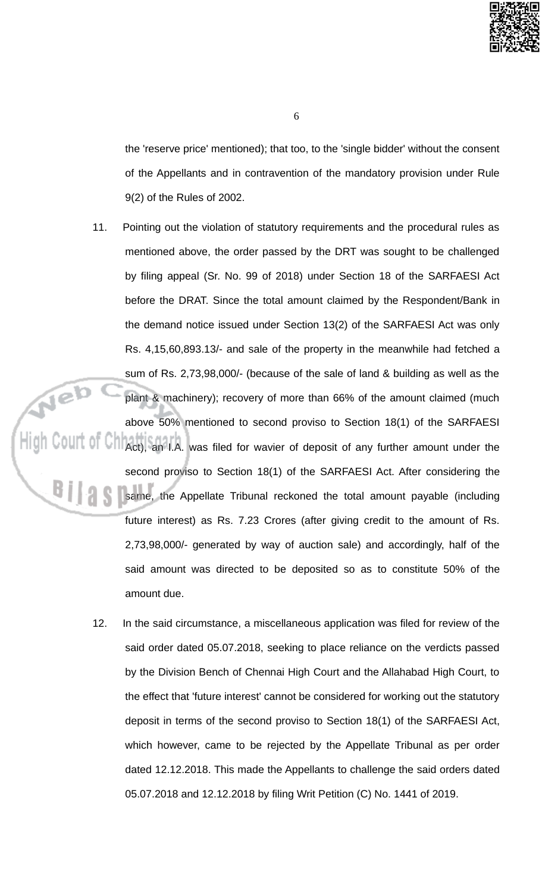

the 'reserve price' mentioned); that too, to the 'single bidder' without the consent of the Appellants and in contravention of the mandatory provision under Rule 9(2) of the Rules of 2002.

- Pointing out the violation of statutory requirements and the procedural rules as 11. mentioned above, the order passed by the DRT was sought to be challenged by filing appeal (Sr. No. 99 of 2018) under Section 18 of the SARFAESI Act before the DRAT. Since the total amount claimed by the Respondent/Bank in the demand notice issued under Section 13(2) of the SARFAESI Act was only Rs. 4,15,60,893.13/- and sale of the property in the meanwhile had fetched a sum of Rs. 2,73,98,000/- (because of the sale of land & building as well as the plant & machinery); recovery of more than 66% of the amount claimed (much above 50% mentioned to second proviso to Section 18(1) of the SARFAESI Act), an I.A. was filed for wavier of deposit of any further amount under the second proviso to Section 18(1) of the SARFAESI Act. After considering the same, the Appellate Tribunal reckoned the total amount payable (including future interest) as Rs. 7.23 Crores (after giving credit to the amount of Rs. 2,73,98,000/- generated by way of auction sale) and accordingly, half of the said amount was directed to be deposited so as to constitute 50% of the amount due.
	- 12. In the said circumstance, a miscellaneous application was filed for review of the said order dated 05.07.2018, seeking to place reliance on the verdicts passed by the Division Bench of Chennai High Court and the Allahabad High Court, to the effect that 'future interest' cannot be considered for working out the statutory deposit in terms of the second proviso to Section 18(1) of the SARFAESI Act, which however, came to be rejected by the Appellate Tribunal as per order dated 12.12.2018. This made the Appellants to challenge the said orders dated 05.07.2018 and 12.12.2018 by filing Writ Petition (C) No. 1441 of 2019.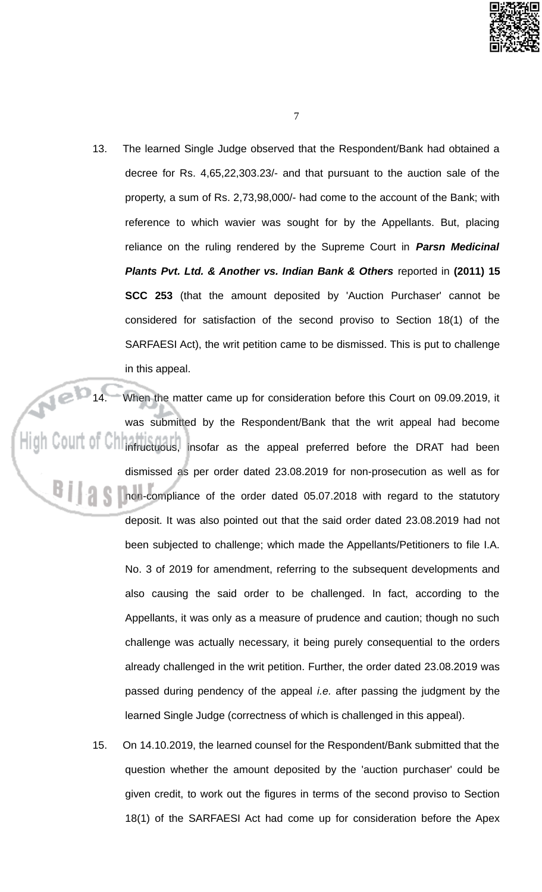

- $\overline{7}$
- 13. The learned Single Judge observed that the Respondent/Bank had obtained a decree for Rs. 4,65,22,303.23/- and that pursuant to the auction sale of the property, a sum of Rs. 2,73,98,000/- had come to the account of the Bank; with reference to which wavier was sought for by the Appellants. But, placing reliance on the ruling rendered by the Supreme Court in **Parsn Medicinal** Plants Pvt. Ltd. & Another vs. Indian Bank & Others reported in (2011) 15 SCC 253 (that the amount deposited by 'Auction Purchaser' cannot be considered for satisfaction of the second proviso to Section 18(1) of the SARFAESI Act), the writ petition came to be dismissed. This is put to challenge in this appeal.

Nebu When the matter came up for consideration before this Court on 09.09.2019, it was submitted by the Respondent/Bank that the writ appeal had become  $\frac{1}{2}$  of  $\frac{1}{2}$  of  $\frac{1}{2}$  infructuous, insofar as the appeal preferred before the DRAT had been dismissed as per order dated 23.08.2019 for non-prosecution as well as for non-compliance of the order dated 05.07.2018 with regard to the statutory deposit. It was also pointed out that the said order dated 23.08.2019 had not been subjected to challenge; which made the Appellants/Petitioners to file I.A. No. 3 of 2019 for amendment, referring to the subsequent developments and also causing the said order to be challenged. In fact, according to the Appellants, it was only as a measure of prudence and caution; though no such challenge was actually necessary, it being purely consequential to the orders already challenged in the writ petition. Further, the order dated 23.08.2019 was passed during pendency of the appeal *i.e.* after passing the judgment by the learned Single Judge (correctness of which is challenged in this appeal).

> 15. On 14.10.2019, the learned counsel for the Respondent/Bank submitted that the question whether the amount deposited by the 'auction purchaser' could be given credit, to work out the figures in terms of the second proviso to Section 18(1) of the SARFAESI Act had come up for consideration before the Apex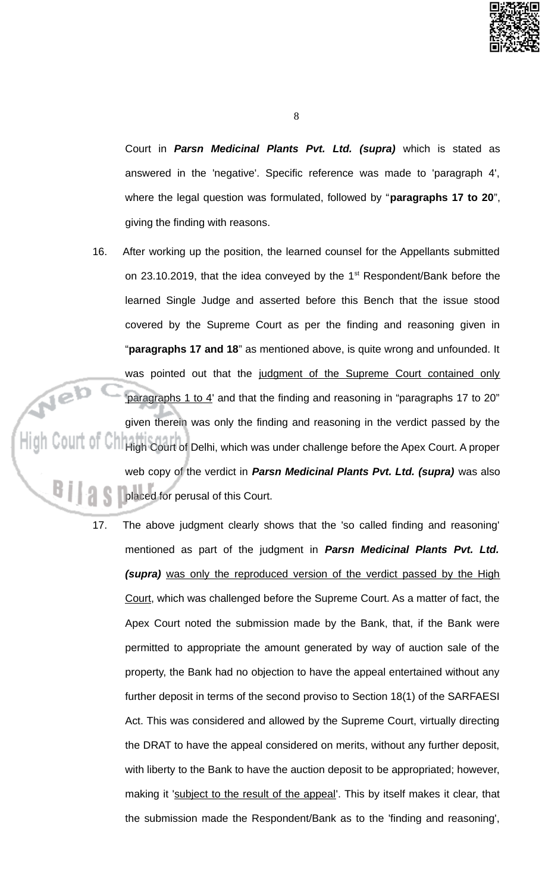

Court in Parsn Medicinal Plants Pvt. Ltd. (supra) which is stated as answered in the 'negative'. Specific reference was made to 'paragraph 4', where the legal question was formulated, followed by "paragraphs 17 to 20", giving the finding with reasons.

- 16. After working up the position, the learned counsel for the Appellants submitted on 23.10.2019, that the idea conveyed by the 1<sup>st</sup> Respondent/Bank before the learned Single Judge and asserted before this Bench that the issue stood covered by the Supreme Court as per the finding and reasoning given in "paragraphs 17 and 18" as mentioned above, is quite wrong and unfounded. It was pointed out that the judgment of the Supreme Court contained only 'paragraphs 1 to 4' and that the finding and reasoning in "paragraphs 17 to 20" given therein was only the finding and reasoning in the verdict passed by the  $\frac{1}{2}$  of  $\frac{1}{2}$  of  $\frac{1}{2}$  High Court of Delhi, which was under challenge before the Apex Court. A proper web copy of the verdict in Parsn Medicinal Plants Pvt. Ltd. (supra) was also placed for perusal of this Court.
	- 17. The above judgment clearly shows that the 'so called finding and reasoning' mentioned as part of the judgment in **Parsn Medicinal Plants Pvt. Ltd.** (supra) was only the reproduced version of the verdict passed by the High Court, which was challenged before the Supreme Court. As a matter of fact, the Apex Court noted the submission made by the Bank, that, if the Bank were permitted to appropriate the amount generated by way of auction sale of the property, the Bank had no objection to have the appeal entertained without any further deposit in terms of the second proviso to Section 18(1) of the SARFAESI Act. This was considered and allowed by the Supreme Court, virtually directing the DRAT to have the appeal considered on merits, without any further deposit, with liberty to the Bank to have the auction deposit to be appropriated; however, making it 'subject to the result of the appeal'. This by itself makes it clear, that the submission made the Respondent/Bank as to the 'finding and reasoning',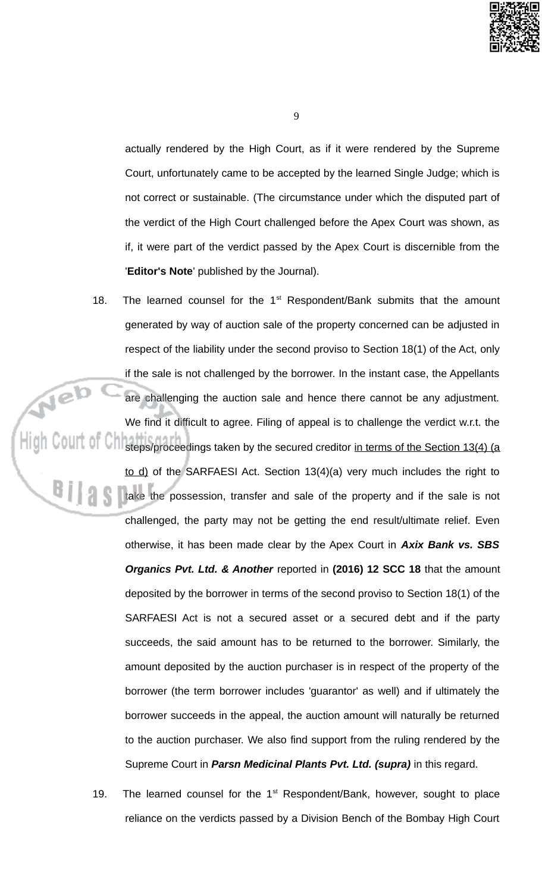

9

actually rendered by the High Court, as if it were rendered by the Supreme Court, unfortunately came to be accepted by the learned Single Judge; which is not correct or sustainable. (The circumstance under which the disputed part of the verdict of the High Court challenged before the Apex Court was shown, as if, it were part of the verdict passed by the Apex Court is discernible from the 'Editor's Note' published by the Journal).

18. The learned counsel for the  $1<sup>st</sup>$  Respondent/Bank submits that the amount generated by way of auction sale of the property concerned can be adjusted in respect of the liability under the second proviso to Section 18(1) of the Act, only if the sale is not challenged by the borrower. In the instant case, the Appellants Neb are challenging the auction sale and hence there cannot be any adjustment. We find it difficult to agree. Filing of appeal is to challenge the verdict w.r.t. the  $\frac{1}{2}$  COUIT 01 Christeps/proceedings taken by the secured creditor in terms of the Section 13(4) (a to d) of the SARFAESI Act. Section 13(4)(a) very much includes the right to **All take the possession, transfer and sale of the property and if the sale is not** 

challenged, the party may not be getting the end result/ultimate relief. Even otherwise, it has been made clear by the Apex Court in Axix Bank vs. SBS Organics Pvt. Ltd. & Another reported in (2016) 12 SCC 18 that the amount deposited by the borrower in terms of the second proviso to Section 18(1) of the SARFAESI Act is not a secured asset or a secured debt and if the party succeeds, the said amount has to be returned to the borrower. Similarly, the amount deposited by the auction purchaser is in respect of the property of the borrower (the term borrower includes 'guarantor' as well) and if ultimately the borrower succeeds in the appeal, the auction amount will naturally be returned to the auction purchaser. We also find support from the ruling rendered by the Supreme Court in Parsn Medicinal Plants Pvt. Ltd. (supra) in this regard.

19. The learned counsel for the  $1<sup>st</sup>$  Respondent/Bank, however, sought to place reliance on the verdicts passed by a Division Bench of the Bombay High Court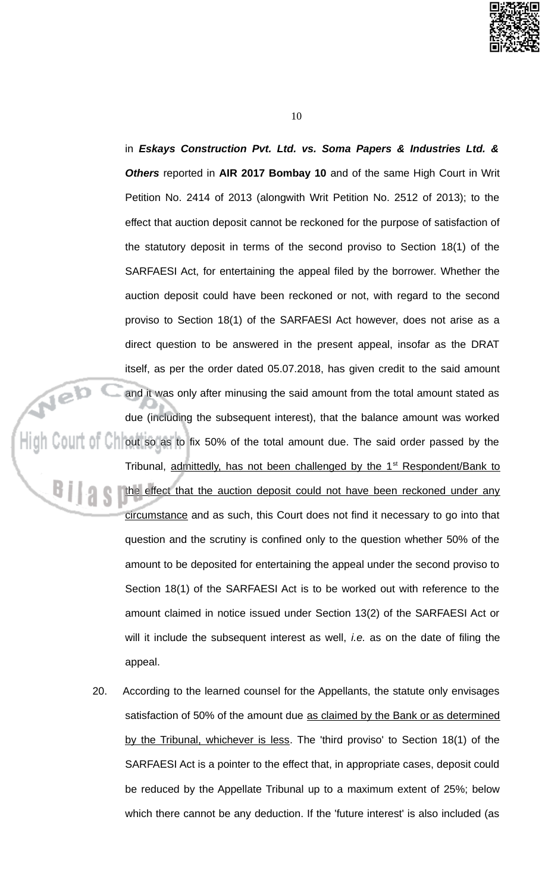

in Eskays Construction Pvt. Ltd. vs. Soma Papers & Industries Ltd. & Others reported in AIR 2017 Bombay 10 and of the same High Court in Writ Petition No. 2414 of 2013 (alongwith Writ Petition No. 2512 of 2013); to the effect that auction deposit cannot be reckoned for the purpose of satisfaction of the statutory deposit in terms of the second proviso to Section 18(1) of the SARFAESI Act, for entertaining the appeal filed by the borrower. Whether the auction deposit could have been reckoned or not, with regard to the second proviso to Section 18(1) of the SARFAESI Act however, does not arise as a direct question to be answered in the present appeal, insofar as the DRAT itself, as per the order dated 05.07.2018, has given credit to the said amount and it was only after minusing the said amount from the total amount stated as due (including the subsequent interest), that the balance amount was worked High Court of Chlout so as to fix 50% of the total amount due. The said order passed by the Tribunal, admittedly, has not been challenged by the 1<sup>st</sup> Respondent/Bank to the effect that the auction deposit could not have been reckoned under any circumstance and as such, this Court does not find it necessary to go into that question and the scrutiny is confined only to the question whether 50% of the amount to be deposited for entertaining the appeal under the second proviso to Section 18(1) of the SARFAESI Act is to be worked out with reference to the amount claimed in notice issued under Section 13(2) of the SARFAESI Act or will it include the subsequent interest as well, *i.e.* as on the date of filing the appeal.

> 20. According to the learned counsel for the Appellants, the statute only envisages satisfaction of 50% of the amount due as claimed by the Bank or as determined by the Tribunal, whichever is less. The 'third proviso' to Section 18(1) of the SARFAESI Act is a pointer to the effect that, in appropriate cases, deposit could be reduced by the Appellate Tribunal up to a maximum extent of 25%; below which there cannot be any deduction. If the 'future interest' is also included (as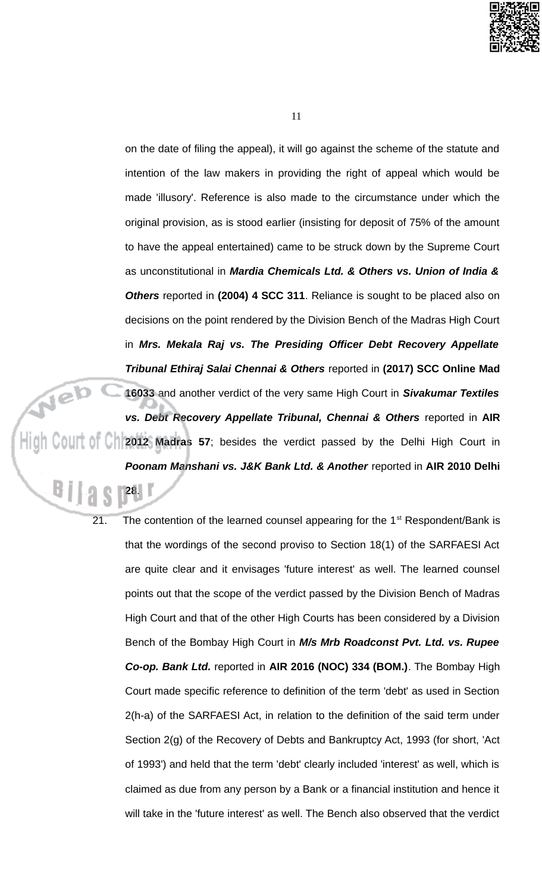

on the date of filing the appeal), it will go against the scheme of the statute and intention of the law makers in providing the right of appeal which would be made 'illusory'. Reference is also made to the circumstance under which the original provision, as is stood earlier (insisting for deposit of 75% of the amount to have the appeal entertained) came to be struck down by the Supreme Court as unconstitutional in Mardia Chemicals Ltd. & Others vs. Union of India & Others reported in (2004) 4 SCC 311. Reliance is sought to be placed also on decisions on the point rendered by the Division Bench of the Madras High Court in Mrs. Mekala Raj vs. The Presiding Officer Debt Recovery Appellate Tribunal Ethiraj Salai Chennai & Others reported in (2017) SCC Online Mad 16033 and another verdict of the very same High Court in Sivakumar Textiles vs. Debt Recovery Appellate Tribunal, Chennai & Others reported in AIR  $\frac{1}{2}$   $\frac{1}{2}$   $\frac{1}{2}$   $\frac{1}{2}$   $\frac{1}{2}$   $\frac{1}{2}$   $\frac{1}{2}$   $\frac{1}{2}$   $\frac{1}{2}$   $\frac{1}{2}$   $\frac{1}{2}$   $\frac{1}{2}$   $\frac{1}{2}$   $\frac{1}{2}$   $\frac{1}{2}$   $\frac{1}{2}$   $\frac{1}{2}$   $\frac{1}{2}$   $\frac{1}{2}$   $\frac{1}{2}$   $\frac{1}{2}$   $\frac{1}{2}$  Poonam Manshani vs. J&K Bank Ltd. & Another reported in AIR 2010 Delhi

> 21. The contention of the learned counsel appearing for the  $1<sup>st</sup>$  Respondent/Bank is that the wordings of the second proviso to Section 18(1) of the SARFAESI Act are quite clear and it envisages 'future interest' as well. The learned counsel points out that the scope of the verdict passed by the Division Bench of Madras High Court and that of the other High Courts has been considered by a Division Bench of the Bombay High Court in M/s Mrb Roadconst Pvt. Ltd. vs. Rupee Co-op. Bank Ltd. reported in AIR 2016 (NOC) 334 (BOM.). The Bombay High Court made specific reference to definition of the term 'debt' as used in Section 2(h-a) of the SARFAESI Act, in relation to the definition of the said term under Section 2(g) of the Recovery of Debts and Bankruptcy Act, 1993 (for short, 'Act of 1993') and held that the term 'debt' clearly included 'interest' as well, which is claimed as due from any person by a Bank or a financial institution and hence it will take in the 'future interest' as well. The Bench also observed that the verdict

28.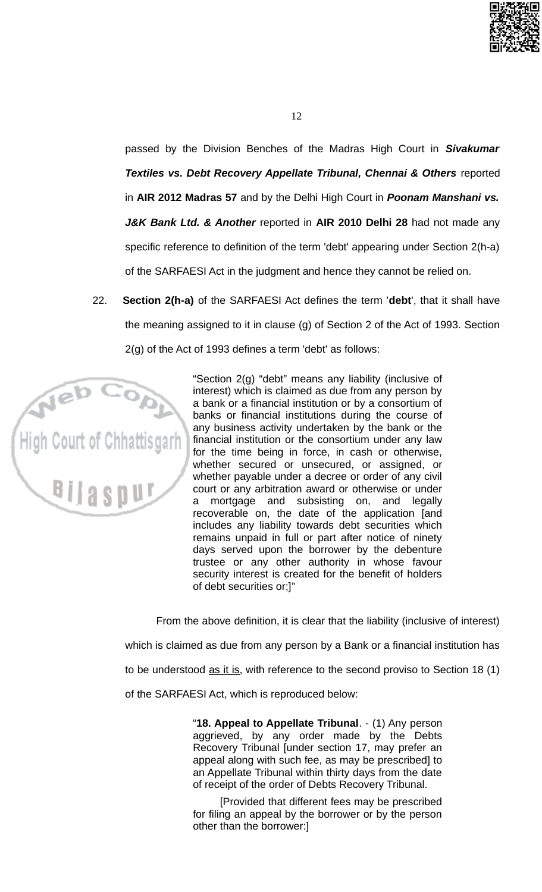

passed by the Division Benches of the Madras High Court in Sivakumar Textiles vs. Debt Recovery Appellate Tribunal, Chennai & Others reported in AIR 2012 Madras 57 and by the Delhi High Court in Poonam Manshani vs. J&K Bank Ltd. & Another reported in AIR 2010 Delhi 28 had not made any specific reference to definition of the term 'debt' appearing under Section 2(h-a) of the SARFAESI Act in the judgment and hence they cannot be relied on.

 $22.$ Section 2(h-a) of the SARFAESI Act defines the term 'debt', that it shall have the meaning assigned to it in clause (g) of Section 2 of the Act of 1993. Section 2(g) of the Act of 1993 defines a term 'debt' as follows:



"Section 2(g) "debt" means any liability (inclusive of interest) which is claimed as due from any person by a bank or a financial institution or by a consortium of banks or financial institutions during the course of any business activity undertaken by the bank or the financial institution or the consortium under any law for the time being in force, in cash or otherwise, whether secured or unsecured, or assigned, or whether payable under a decree or order of any civil court or any arbitration award or otherwise or under mortgage and subsisting on, and legally a recoverable on, the date of the application [and includes any liability towards debt securities which remains unpaid in full or part after notice of ninety days served upon the borrower by the debenture trustee or any other authority in whose favour security interest is created for the benefit of holders of debt securities or;]"

From the above definition, it is clear that the liability (inclusive of interest) which is claimed as due from any person by a Bank or a financial institution has to be understood as it is, with reference to the second proviso to Section 18 (1) of the SARFAESI Act, which is reproduced below:

> "18. Appeal to Appellate Tribunal. - (1) Any person aggrieved, by any order made by the Debts Recovery Tribunal [under section 17, may prefer an appeal along with such fee, as may be prescribed to an Appellate Tribunal within thirty days from the date of receipt of the order of Debts Recovery Tribunal.

> [Provided that different fees may be prescribed for filing an appeal by the borrower or by the person other than the borrower:]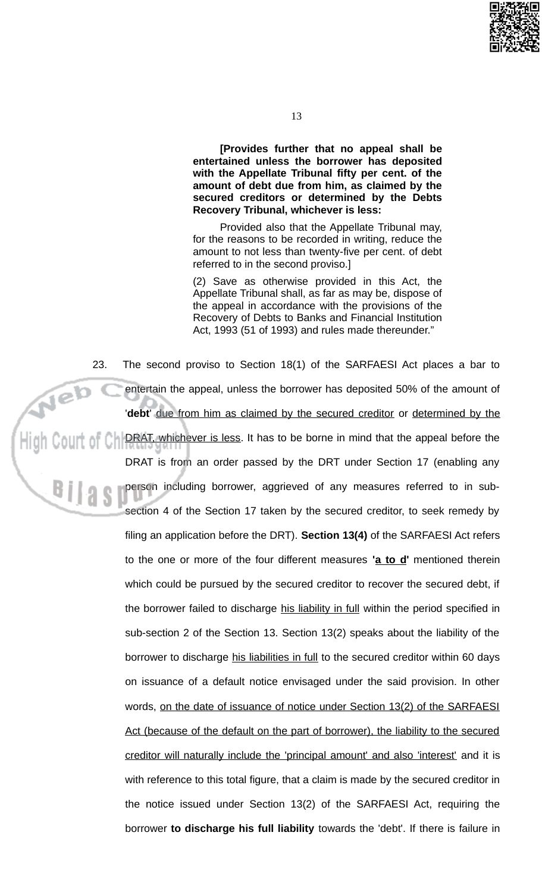

[Provides further that no appeal shall be entertained unless the borrower has deposited with the Appellate Tribunal fifty per cent. of the amount of debt due from him, as claimed by the secured creditors or determined by the Debts Recovery Tribunal, whichever is less:

Provided also that the Appellate Tribunal may, for the reasons to be recorded in writing, reduce the amount to not less than twenty-five per cent. of debt referred to in the second proviso.]

(2) Save as otherwise provided in this Act, the Appellate Tribunal shall, as far as may be, dispose of the appeal in accordance with the provisions of the Recovery of Debts to Banks and Financial Institution Act, 1993 (51 of 1993) and rules made thereunder."

23. The second proviso to Section 18(1) of the SARFAESI Act places a bar to entertain the appeal, unless the borrower has deposited 50% of the amount of 'debt' due from him as claimed by the secured creditor or determined by the DRAT, whichever is less. It has to be borne in mind that the appeal before the DRAT is from an order passed by the DRT under Section 17 (enabling any person including borrower, aggrieved of any measures referred to in subsection 4 of the Section 17 taken by the secured creditor, to seek remedy by filing an application before the DRT). Section 13(4) of the SARFAESI Act refers to the one or more of the four different measures 'a to d' mentioned therein which could be pursued by the secured creditor to recover the secured debt, if the borrower failed to discharge his liability in full within the period specified in sub-section 2 of the Section 13. Section 13(2) speaks about the liability of the borrower to discharge his liabilities in full to the secured creditor within 60 days on issuance of a default notice envisaged under the said provision. In other words, on the date of issuance of notice under Section 13(2) of the SARFAESI Act (because of the default on the part of borrower), the liability to the secured creditor will naturally include the 'principal amount' and also 'interest' and it is with reference to this total figure, that a claim is made by the secured creditor in the notice issued under Section 13(2) of the SARFAESI Act, requiring the borrower to discharge his full liability towards the 'debt'. If there is failure in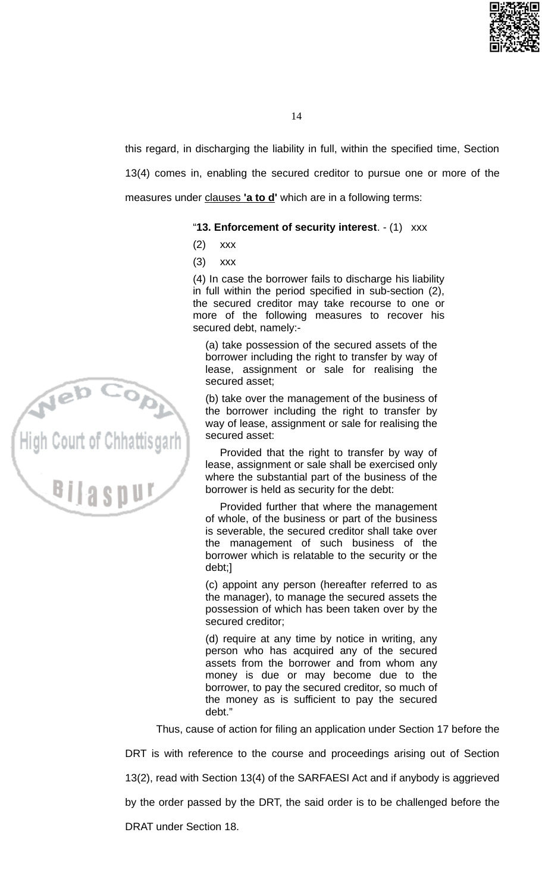

this regard, in discharging the liability in full, within the specified time, Section 13(4) comes in, enabling the secured creditor to pursue one or more of the measures under clauses 'a to d' which are in a following terms:

## "13. Enforcement of security interest. - (1) xxx

- $(2)$ **XXX**
- $(3)$ **XXX**

(4) In case the borrower fails to discharge his liability in full within the period specified in sub-section (2). the secured creditor may take recourse to one or more of the following measures to recover his secured debt, namely:-

(a) take possession of the secured assets of the borrower including the right to transfer by way of lease, assignment or sale for realising the secured asset;

(b) take over the management of the business of the borrower including the right to transfer by way of lease, assignment or sale for realising the secured asset:

Provided that the right to transfer by way of lease, assignment or sale shall be exercised only where the substantial part of the business of the borrower is held as security for the debt:

Provided further that where the management of whole, of the business or part of the business is severable, the secured creditor shall take over the management of such business of the borrower which is relatable to the security or the debt;]

(c) appoint any person (hereafter referred to as the manager), to manage the secured assets the possession of which has been taken over by the secured creditor;

(d) require at any time by notice in writing, any person who has acquired any of the secured assets from the borrower and from whom any money is due or may become due to the borrower, to pay the secured creditor, so much of the money as is sufficient to pay the secured debt."

Thus, cause of action for filing an application under Section 17 before the

DRT is with reference to the course and proceedings arising out of Section

13(2), read with Section 13(4) of the SARFAESI Act and if anybody is aggrieved

by the order passed by the DRT, the said order is to be challenged before the

**DRAT under Section 18.** 

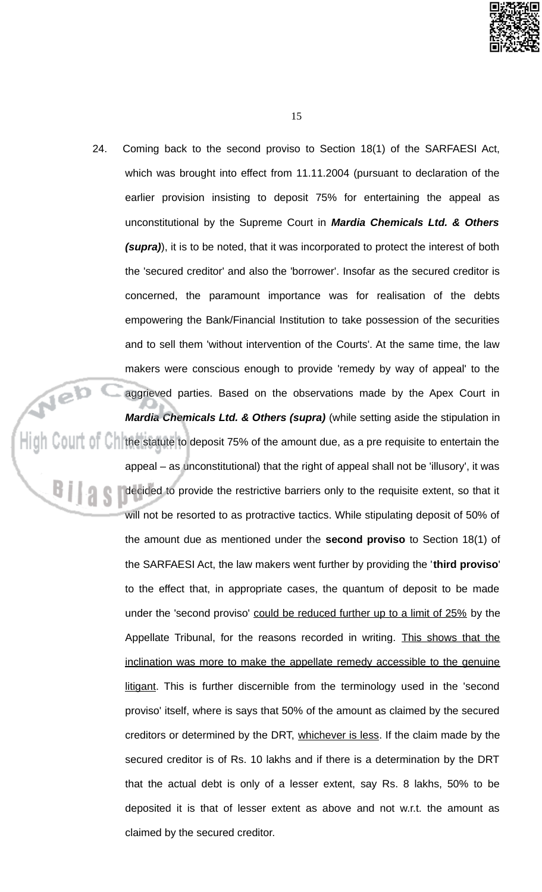

24. Coming back to the second proviso to Section 18(1) of the SARFAESI Act, which was brought into effect from 11.11.2004 (pursuant to declaration of the earlier provision insisting to deposit 75% for entertaining the appeal as unconstitutional by the Supreme Court in Mardia Chemicals Ltd. & Others (supra)), it is to be noted, that it was incorporated to protect the interest of both the 'secured creditor' and also the 'borrower'. Insofar as the secured creditor is concerned, the paramount importance was for realisation of the debts empowering the Bank/Financial Institution to take possession of the securities and to sell them 'without intervention of the Courts'. At the same time, the law makers were conscious enough to provide 'remedy by way of appeal' to the Neb aggrieved parties. Based on the observations made by the Apex Court in Mardia Chemicals Ltd. & Others (supra) (while setting aside the stipulation in  $\|\cdot\|_1$  Colli $\|$  of C<sub>1</sub> the statute to deposit 75% of the amount due, as a pre requisite to entertain the appeal – as unconstitutional) that the right of appeal shall not be 'illusory', it was <sup>Bilas</sup> decided to provide the restrictive barriers only to the requisite extent, so that it will not be resorted to as protractive tactics. While stipulating deposit of 50% of the amount due as mentioned under the second proviso to Section 18(1) of the SARFAESI Act, the law makers went further by providing the 'third proviso' to the effect that, in appropriate cases, the quantum of deposit to be made under the 'second proviso' could be reduced further up to a limit of 25% by the Appellate Tribunal, for the reasons recorded in writing. This shows that the inclination was more to make the appellate remedy accessible to the genuine litigant. This is further discernible from the terminology used in the 'second proviso' itself, where is says that 50% of the amount as claimed by the secured creditors or determined by the DRT, whichever is less. If the claim made by the secured creditor is of Rs. 10 lakhs and if there is a determination by the DRT that the actual debt is only of a lesser extent, say Rs. 8 lakhs, 50% to be deposited it is that of lesser extent as above and not w.r.t. the amount as claimed by the secured creditor.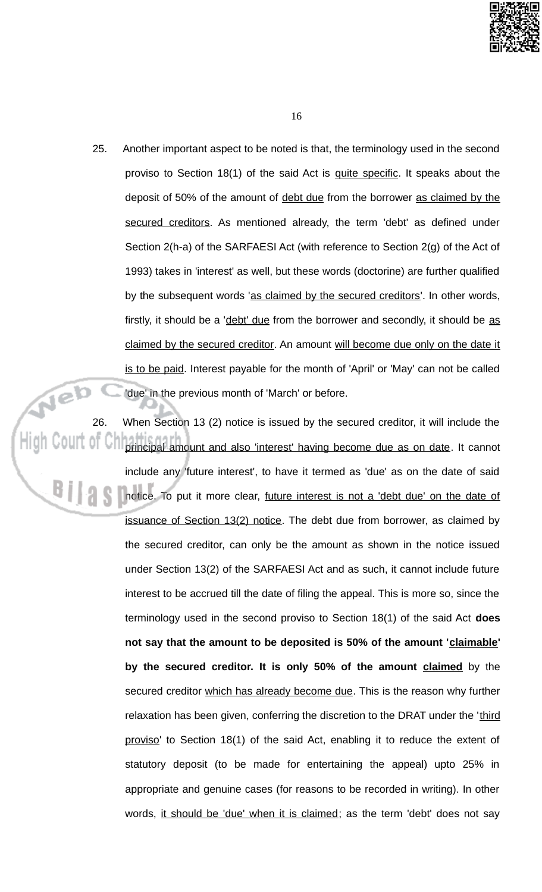

16

25. Another important aspect to be noted is that, the terminology used in the second proviso to Section 18(1) of the said Act is guite specific. It speaks about the deposit of 50% of the amount of debt due from the borrower as claimed by the secured creditors. As mentioned already, the term 'debt' as defined under Section 2(h-a) of the SARFAESI Act (with reference to Section 2(g) of the Act of 1993) takes in 'interest' as well, but these words (doctorine) are further qualified by the subsequent words 'as claimed by the secured creditors'. In other words, firstly, it should be a 'debt' due from the borrower and secondly, it should be as claimed by the secured creditor. An amount will become due only on the date it is to be paid. Interest payable for the month of 'April' or 'May' can not be called 'due' in the previous month of 'March' or before.

Web 26. When Section 13 (2) notice is issued by the secured creditor, it will include the principal amount and also 'interest' having become due as on date. It cannot include any 'future interest', to have it termed as 'due' as on the date of said notice. To put it more clear, future interest is not a 'debt due' on the date of issuance of Section 13(2) notice. The debt due from borrower, as claimed by the secured creditor, can only be the amount as shown in the notice issued under Section 13(2) of the SARFAESI Act and as such, it cannot include future interest to be accrued till the date of filing the appeal. This is more so, since the terminology used in the second proviso to Section  $18(1)$  of the said Act does not say that the amount to be deposited is 50% of the amount 'claimable' by the secured creditor. It is only 50% of the amount claimed by the secured creditor which has already become due. This is the reason why further relaxation has been given, conferring the discretion to the DRAT under the 'third proviso' to Section 18(1) of the said Act, enabling it to reduce the extent of statutory deposit (to be made for entertaining the appeal) upto 25% in appropriate and genuine cases (for reasons to be recorded in writing). In other words, it should be 'due' when it is claimed; as the term 'debt' does not say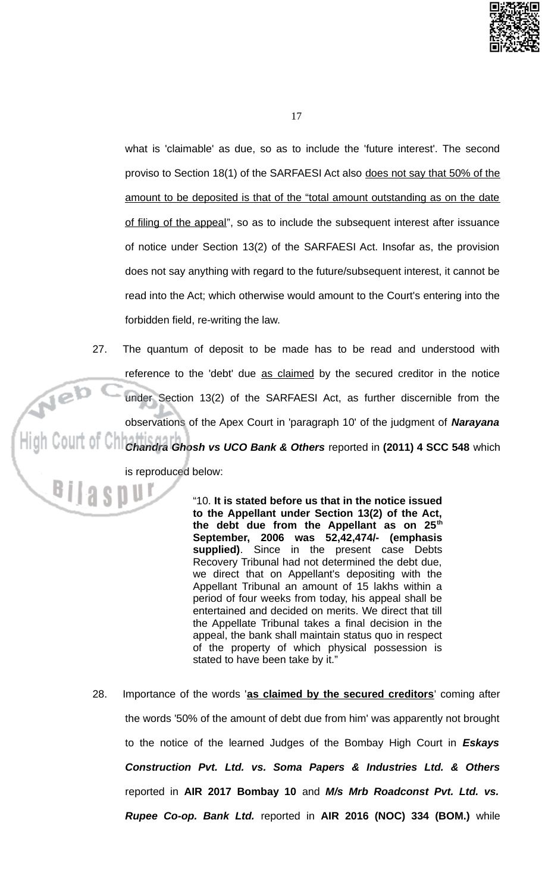

what is 'claimable' as due, so as to include the 'future interest'. The second proviso to Section 18(1) of the SARFAESI Act also does not say that 50% of the amount to be deposited is that of the "total amount outstanding as on the date of filing of the appeal", so as to include the subsequent interest after issuance of notice under Section 13(2) of the SARFAESI Act. Insofar as, the provision does not say anything with regard to the future/subsequent interest, it cannot be read into the Act; which otherwise would amount to the Court's entering into the forbidden field, re-writing the law.

27. The quantum of deposit to be made has to be read and understood with reference to the 'debt' due as claimed by the secured creditor in the notice Neb under Section 13(2) of the SARFAESI Act, as further discernible from the observations of the Apex Court in 'paragraph 10' of the judgment of Narayana Chandra Ghosh vs UCO Bank & Others reported in (2011) 4 SCC 548 which is reproduced below:

> "10. It is stated before us that in the notice issued to the Appellant under Section 13(2) of the Act, the debt due from the Appellant as on 25<sup>th</sup> September, 2006 was 52,42,474/- (emphasis supplied). Since in the present case Debts Recovery Tribunal had not determined the debt due, we direct that on Appellant's depositing with the Appellant Tribunal an amount of 15 lakhs within a period of four weeks from today, his appeal shall be entertained and decided on merits. We direct that till the Appellate Tribunal takes a final decision in the appeal, the bank shall maintain status quo in respect of the property of which physical possession is stated to have been take by it."

28. Importance of the words 'as claimed by the secured creditors' coming after the words '50% of the amount of debt due from him' was apparently not brought to the notice of the learned Judges of the Bombay High Court in Eskays Construction Pvt. Ltd. vs. Soma Papers & Industries Ltd. & Others reported in AIR 2017 Bombay 10 and M/s Mrb Roadconst Pvt. Ltd. vs. Rupee Co-op. Bank Ltd. reported in AIR 2016 (NOC) 334 (BOM.) while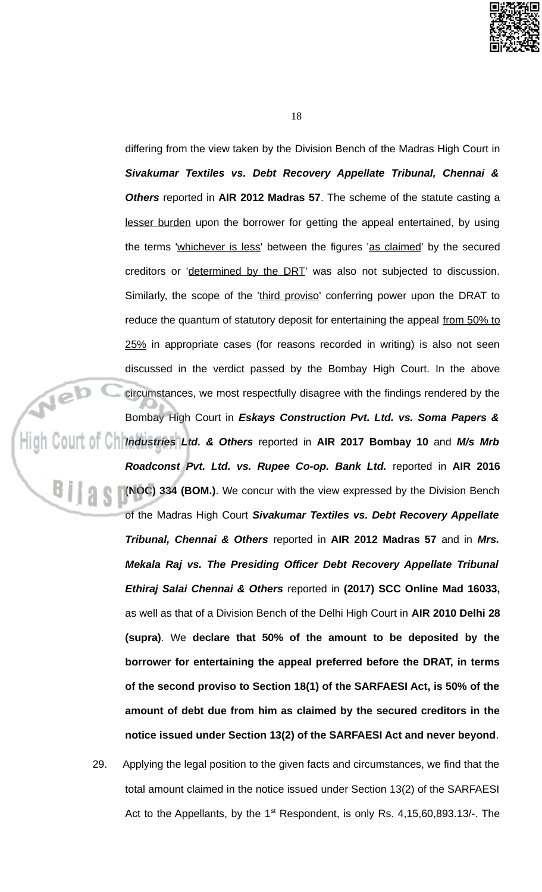

differing from the view taken by the Division Bench of the Madras High Court in Sivakumar Textiles vs. Debt Recovery Appellate Tribunal, Chennai & Others reported in AIR 2012 Madras 57. The scheme of the statute casting a lesser burden upon the borrower for getting the appeal entertained, by using the terms 'whichever is less' between the figures 'as claimed' by the secured creditors or 'determined by the DRT' was also not subjected to discussion. Similarly, the scope of the 'third proviso' conferring power upon the DRAT to reduce the quantum of statutory deposit for entertaining the appeal from 50% to 25% in appropriate cases (for reasons recorded in writing) is also not seen discussed in the verdict passed by the Bombay High Court. In the above circumstances, we most respectfully disagree with the findings rendered by the Bombay High Court in Eskays Construction Pvt. Ltd. vs. Soma Papers & High Court of Chindustries Ltd. & Others reported in AIR 2017 Bombay 10 and M/s Mrb Roadconst Pvt. Ltd. vs. Rupee Co-op. Bank Ltd. reported in AIR 2016 (NOC) 334 (BOM.). We concur with the view expressed by the Division Bench of the Madras High Court Sivakumar Textiles vs. Debt Recovery Appellate Tribunal, Chennai & Others reported in AIR 2012 Madras 57 and in Mrs. Mekala Raj vs. The Presiding Officer Debt Recovery Appellate Tribunal Ethiraj Salai Chennai & Others reported in (2017) SCC Online Mad 16033, as well as that of a Division Bench of the Delhi High Court in AIR 2010 Delhi 28 (supra). We declare that 50% of the amount to be deposited by the borrower for entertaining the appeal preferred before the DRAT, in terms of the second proviso to Section 18(1) of the SARFAESI Act, is 50% of the amount of debt due from him as claimed by the secured creditors in the notice issued under Section 13(2) of the SARFAESI Act and never beyond.

> 29. Applying the legal position to the given facts and circumstances, we find that the total amount claimed in the notice issued under Section 13(2) of the SARFAESI Act to the Appellants, by the 1<sup>st</sup> Respondent, is only Rs. 4,15,60,893.13/-. The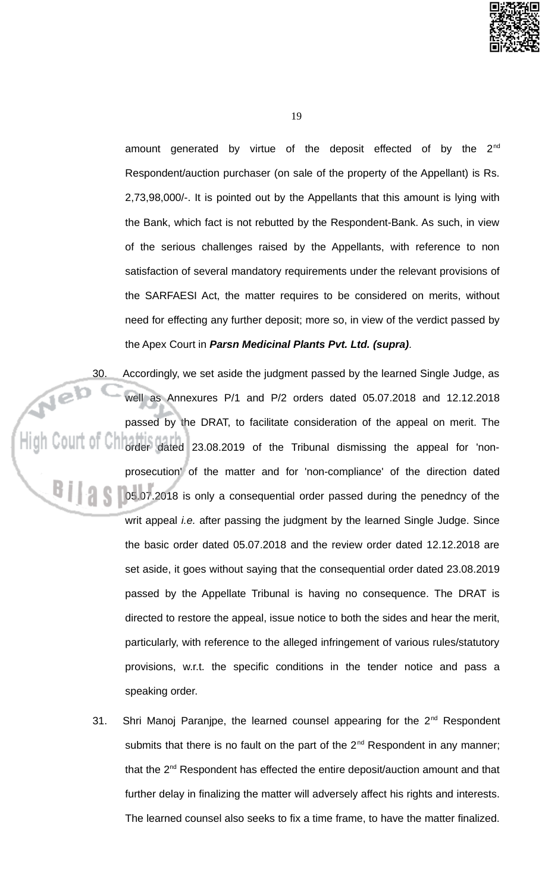

amount generated by virtue of the deposit effected of by the 2<sup>nd</sup> Respondent/auction purchaser (on sale of the property of the Appellant) is Rs. 2,73,98,000/-. It is pointed out by the Appellants that this amount is lying with the Bank, which fact is not rebutted by the Respondent-Bank. As such, in view of the serious challenges raised by the Appellants, with reference to non satisfaction of several mandatory requirements under the relevant provisions of the SARFAESI Act, the matter requires to be considered on merits, without need for effecting any further deposit; more so, in view of the verdict passed by the Apex Court in Parsn Medicinal Plants Pvt. Ltd. (supra).

Accordingly, we set aside the judgment passed by the learned Single Judge, as Neb well as Annexures P/1 and P/2 orders dated 05.07.2018 and 12.12.2018 passed by the DRAT, to facilitate consideration of the appeal on merit. The order dated 23.08.2019 of the Tribunal dismissing the appeal for 'nonprosecution' of the matter and for 'non-compliance' of the direction dated 05.07.2018 is only a consequential order passed during the penedncy of the writ appeal *i.e.* after passing the judgment by the learned Single Judge. Since the basic order dated 05.07.2018 and the review order dated 12.12.2018 are set aside, it goes without saying that the consequential order dated 23.08.2019 passed by the Appellate Tribunal is having no consequence. The DRAT is directed to restore the appeal, issue notice to both the sides and hear the merit, particularly, with reference to the alleged infringement of various rules/statutory provisions, w.r.t. the specific conditions in the tender notice and pass a speaking order.

> Shri Manoj Paranjpe, the learned counsel appearing for the 2<sup>nd</sup> Respondent 31. submits that there is no fault on the part of the 2<sup>nd</sup> Respondent in any manner; that the 2<sup>nd</sup> Respondent has effected the entire deposit/auction amount and that further delay in finalizing the matter will adversely affect his rights and interests. The learned counsel also seeks to fix a time frame, to have the matter finalized.